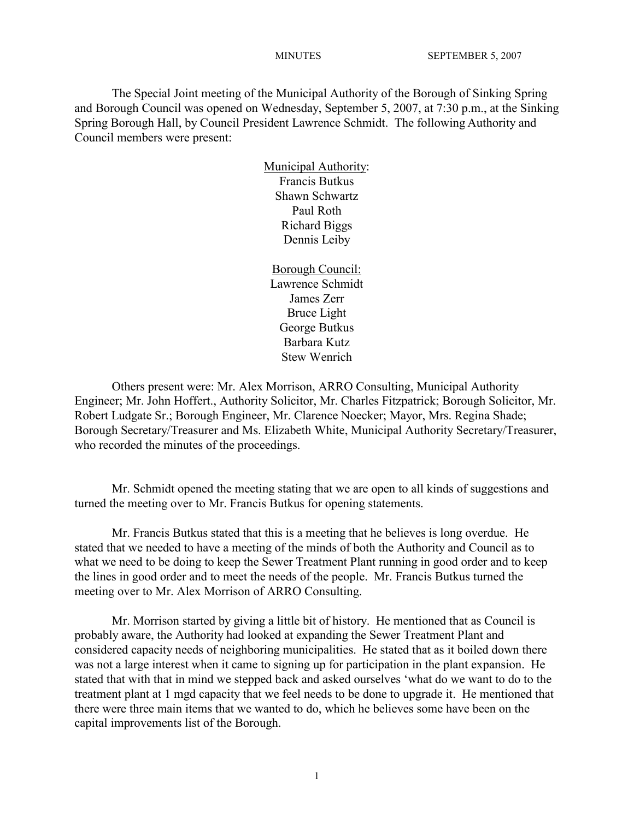The Special Joint meeting of the Municipal Authority of the Borough of Sinking Spring and Borough Council was opened on Wednesday, September 5, 2007, at 7:30 p.m., at the Sinking Spring Borough Hall, by Council President Lawrence Schmidt. The following Authority and Council members were present:

> Municipal Authority: Francis Butkus Shawn Schwartz Paul Roth Richard Biggs Dennis Leiby

Borough Council: Lawrence Schmidt James Zerr Bruce Light George Butkus Barbara Kutz Stew Wenrich

Others present were: Mr. Alex Morrison, ARRO Consulting, Municipal Authority Engineer; Mr. John Hoffert., Authority Solicitor, Mr. Charles Fitzpatrick; Borough Solicitor, Mr. Robert Ludgate Sr.; Borough Engineer, Mr. Clarence Noecker; Mayor, Mrs. Regina Shade; Borough Secretary/Treasurer and Ms. Elizabeth White, Municipal Authority Secretary/Treasurer, who recorded the minutes of the proceedings.

Mr. Schmidt opened the meeting stating that we are open to all kinds of suggestions and turned the meeting over to Mr. Francis Butkus for opening statements.

Mr. Francis Butkus stated that this is a meeting that he believes is long overdue. He stated that we needed to have a meeting of the minds of both the Authority and Council as to what we need to be doing to keep the Sewer Treatment Plant running in good order and to keep the lines in good order and to meet the needs of the people. Mr. Francis Butkus turned the meeting over to Mr. Alex Morrison of ARRO Consulting.

Mr. Morrison started by giving a little bit of history. He mentioned that as Council is probably aware, the Authority had looked at expanding the Sewer Treatment Plant and considered capacity needs of neighboring municipalities. He stated that as it boiled down there was not a large interest when it came to signing up for participation in the plant expansion. He stated that with that in mind we stepped back and asked ourselves 'what do we want to do to the treatment plant at 1 mgd capacity that we feel needs to be done to upgrade it. He mentioned that there were three main items that we wanted to do, which he believes some have been on the capital improvements list of the Borough.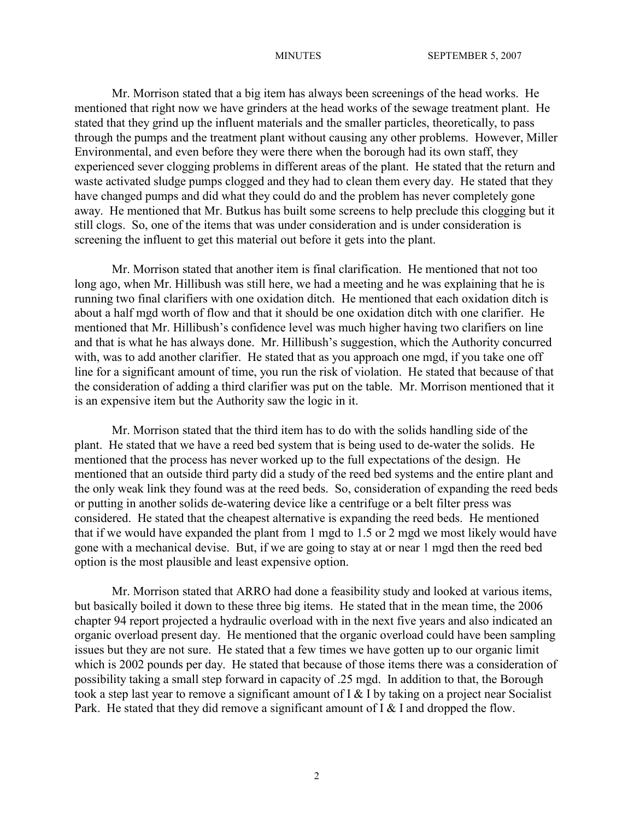Mr. Morrison stated that a big item has always been screenings of the head works. He mentioned that right now we have grinders at the head works of the sewage treatment plant. He stated that they grind up the influent materials and the smaller particles, theoretically, to pass through the pumps and the treatment plant without causing any other problems. However, Miller Environmental, and even before they were there when the borough had its own staff, they experienced sever clogging problems in different areas of the plant. He stated that the return and waste activated sludge pumps clogged and they had to clean them every day. He stated that they have changed pumps and did what they could do and the problem has never completely gone away. He mentioned that Mr. Butkus has built some screens to help preclude this clogging but it still clogs. So, one of the items that was under consideration and is under consideration is screening the influent to get this material out before it gets into the plant.

Mr. Morrison stated that another item is final clarification. He mentioned that not too long ago, when Mr. Hillibush was still here, we had a meeting and he was explaining that he is running two final clarifiers with one oxidation ditch. He mentioned that each oxidation ditch is about a half mgd worth of flow and that it should be one oxidation ditch with one clarifier. He mentioned that Mr. Hillibush's confidence level was much higher having two clarifiers on line and that is what he has always done. Mr. Hillibush's suggestion, which the Authority concurred with, was to add another clarifier. He stated that as you approach one mgd, if you take one off line for a significant amount of time, you run the risk of violation. He stated that because of that the consideration of adding a third clarifier was put on the table. Mr. Morrison mentioned that it is an expensive item but the Authority saw the logic in it.

Mr. Morrison stated that the third item has to do with the solids handling side of the plant. He stated that we have a reed bed system that is being used to de-water the solids. He mentioned that the process has never worked up to the full expectations of the design. He mentioned that an outside third party did a study of the reed bed systems and the entire plant and the only weak link they found was at the reed beds. So, consideration of expanding the reed beds or putting in another solids de-watering device like a centrifuge or a belt filter press was considered. He stated that the cheapest alternative is expanding the reed beds. He mentioned that if we would have expanded the plant from 1 mgd to 1.5 or 2 mgd we most likely would have gone with a mechanical devise. But, if we are going to stay at or near 1 mgd then the reed bed option is the most plausible and least expensive option.

Mr. Morrison stated that ARRO had done a feasibility study and looked at various items, but basically boiled it down to these three big items. He stated that in the mean time, the 2006 chapter 94 report projected a hydraulic overload with in the next five years and also indicated an organic overload present day. He mentioned that the organic overload could have been sampling issues but they are not sure. He stated that a few times we have gotten up to our organic limit which is 2002 pounds per day. He stated that because of those items there was a consideration of possibility taking a small step forward in capacity of .25 mgd. In addition to that, the Borough took a step last year to remove a significant amount of I & I by taking on a project near Socialist Park. He stated that they did remove a significant amount of  $I \& I$  and dropped the flow.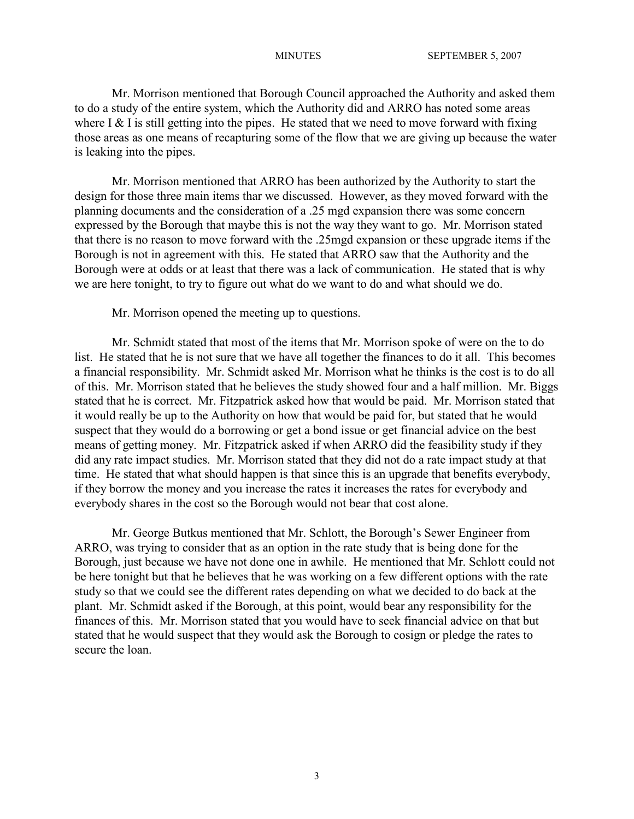Mr. Morrison mentioned that Borough Council approached the Authority and asked them to do a study of the entire system, which the Authority did and ARRO has noted some areas where I  $&$  I is still getting into the pipes. He stated that we need to move forward with fixing those areas as one means of recapturing some of the flow that we are giving up because the water is leaking into the pipes.

Mr. Morrison mentioned that ARRO has been authorized by the Authority to start the design for those three main items thar we discussed. However, as they moved forward with the planning documents and the consideration of a .25 mgd expansion there was some concern expressed by the Borough that maybe this is not the way they want to go. Mr. Morrison stated that there is no reason to move forward with the .25mgd expansion or these upgrade items if the Borough is not in agreement with this. He stated that ARRO saw that the Authority and the Borough were at odds or at least that there was a lack of communication. He stated that is why we are here tonight, to try to figure out what do we want to do and what should we do.

Mr. Morrison opened the meeting up to questions.

Mr. Schmidt stated that most of the items that Mr. Morrison spoke of were on the to do list. He stated that he is not sure that we have all together the finances to do it all. This becomes a financial responsibility. Mr. Schmidt asked Mr. Morrison what he thinks is the cost is to do all of this. Mr. Morrison stated that he believes the study showed four and a half million. Mr. Biggs stated that he is correct. Mr. Fitzpatrick asked how that would be paid. Mr. Morrison stated that it would really be up to the Authority on how that would be paid for, but stated that he would suspect that they would do a borrowing or get a bond issue or get financial advice on the best means of getting money. Mr. Fitzpatrick asked if when ARRO did the feasibility study if they did any rate impact studies. Mr. Morrison stated that they did not do a rate impact study at that time. He stated that what should happen is that since this is an upgrade that benefits everybody, if they borrow the money and you increase the rates it increases the rates for everybody and everybody shares in the cost so the Borough would not bear that cost alone.

Mr. George Butkus mentioned that Mr. Schlott, the Borough's Sewer Engineer from ARRO, was trying to consider that as an option in the rate study that is being done for the Borough, just because we have not done one in awhile. He mentioned that Mr. Schlott could not be here tonight but that he believes that he was working on a few different options with the rate study so that we could see the different rates depending on what we decided to do back at the plant. Mr. Schmidt asked if the Borough, at this point, would bear any responsibility for the finances of this. Mr. Morrison stated that you would have to seek financial advice on that but stated that he would suspect that they would ask the Borough to cosign or pledge the rates to secure the loan.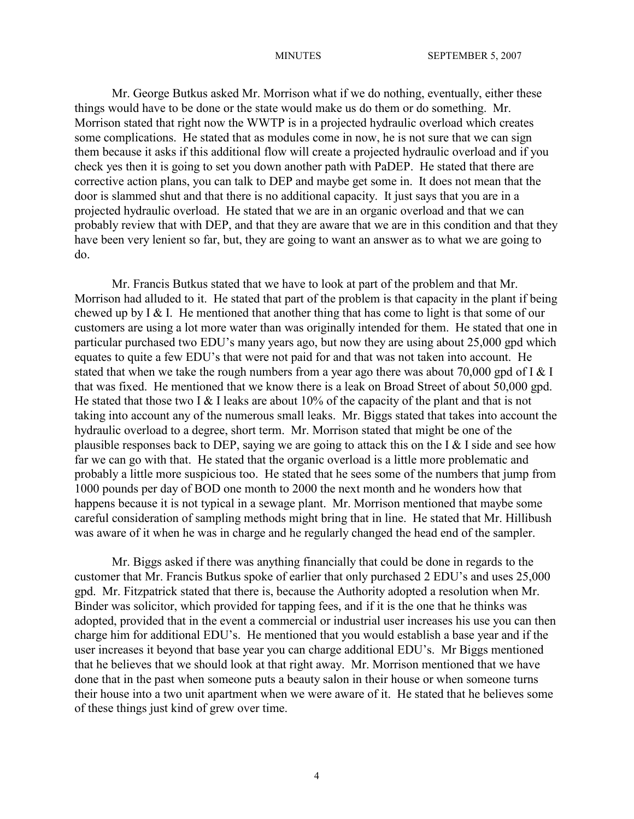Mr. George Butkus asked Mr. Morrison what if we do nothing, eventually, either these things would have to be done or the state would make us do them or do something. Mr. Morrison stated that right now the WWTP is in a projected hydraulic overload which creates some complications. He stated that as modules come in now, he is not sure that we can sign them because it asks if this additional flow will create a projected hydraulic overload and if you check yes then it is going to set you down another path with PaDEP. He stated that there are corrective action plans, you can talk to DEP and maybe get some in. It does not mean that the door is slammed shut and that there is no additional capacity. It just says that you are in a projected hydraulic overload. He stated that we are in an organic overload and that we can probably review that with DEP, and that they are aware that we are in this condition and that they have been very lenient so far, but, they are going to want an answer as to what we are going to do.

Mr. Francis Butkus stated that we have to look at part of the problem and that Mr. Morrison had alluded to it. He stated that part of the problem is that capacity in the plant if being chewed up by  $I \& I$ . He mentioned that another thing that has come to light is that some of our customers are using a lot more water than was originally intended for them. He stated that one in particular purchased two EDU's many years ago, but now they are using about 25,000 gpd which equates to quite a few EDU's that were not paid for and that was not taken into account. He stated that when we take the rough numbers from a year ago there was about 70,000 gpd of I  $&$  I that was fixed. He mentioned that we know there is a leak on Broad Street of about 50,000 gpd. He stated that those two I  $&$  I leaks are about 10% of the capacity of the plant and that is not taking into account any of the numerous small leaks. Mr. Biggs stated that takes into account the hydraulic overload to a degree, short term. Mr. Morrison stated that might be one of the plausible responses back to DEP, saying we are going to attack this on the I  $&$  I side and see how far we can go with that. He stated that the organic overload is a little more problematic and probably a little more suspicious too. He stated that he sees some of the numbers that jump from 1000 pounds per day of BOD one month to 2000 the next month and he wonders how that happens because it is not typical in a sewage plant. Mr. Morrison mentioned that maybe some careful consideration of sampling methods might bring that in line. He stated that Mr. Hillibush was aware of it when he was in charge and he regularly changed the head end of the sampler.

Mr. Biggs asked if there was anything financially that could be done in regards to the customer that Mr. Francis Butkus spoke of earlier that only purchased 2 EDU's and uses 25,000 gpd. Mr. Fitzpatrick stated that there is, because the Authority adopted a resolution when Mr. Binder was solicitor, which provided for tapping fees, and if it is the one that he thinks was adopted, provided that in the event a commercial or industrial user increases his use you can then charge him for additional EDU's. He mentioned that you would establish a base year and if the user increases it beyond that base year you can charge additional EDU's. Mr Biggs mentioned that he believes that we should look at that right away. Mr. Morrison mentioned that we have done that in the past when someone puts a beauty salon in their house or when someone turns their house into a two unit apartment when we were aware of it. He stated that he believes some of these things just kind of grew over time.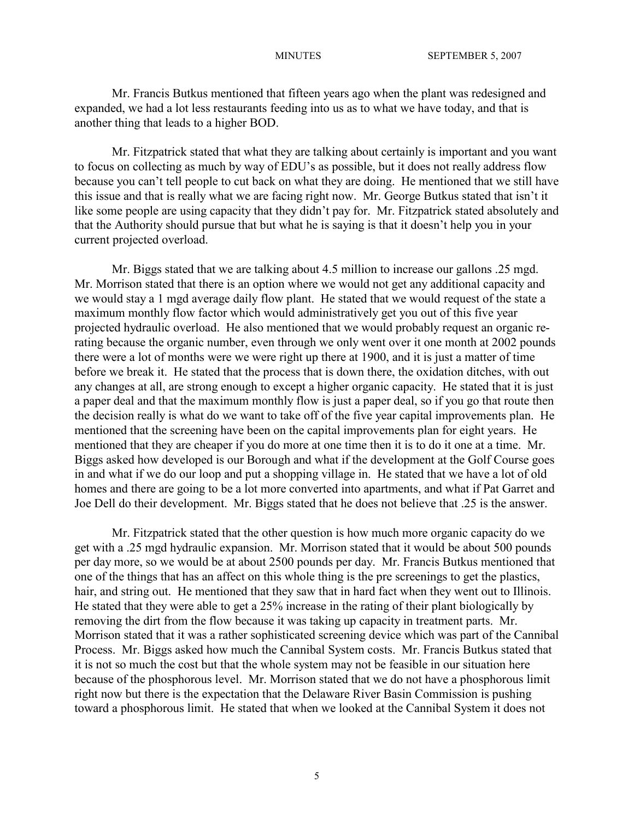Mr. Francis Butkus mentioned that fifteen years ago when the plant was redesigned and expanded, we had a lot less restaurants feeding into us as to what we have today, and that is another thing that leads to a higher BOD.

Mr. Fitzpatrick stated that what they are talking about certainly is important and you want to focus on collecting as much by way of EDU's as possible, but it does not really address flow because you can't tell people to cut back on what they are doing. He mentioned that we still have this issue and that is really what we are facing right now. Mr. George Butkus stated that isn't it like some people are using capacity that they didn't pay for. Mr. Fitzpatrick stated absolutely and that the Authority should pursue that but what he is saying is that it doesn't help you in your current projected overload.

Mr. Biggs stated that we are talking about 4.5 million to increase our gallons .25 mgd. Mr. Morrison stated that there is an option where we would not get any additional capacity and we would stay a 1 mgd average daily flow plant. He stated that we would request of the state a maximum monthly flow factor which would administratively get you out of this five year projected hydraulic overload. He also mentioned that we would probably request an organic rerating because the organic number, even through we only went over it one month at 2002 pounds there were a lot of months were we were right up there at 1900, and it is just a matter of time before we break it. He stated that the process that is down there, the oxidation ditches, with out any changes at all, are strong enough to except a higher organic capacity. He stated that it is just a paper deal and that the maximum monthly flow is just a paper deal, so if you go that route then the decision really is what do we want to take off of the five year capital improvements plan. He mentioned that the screening have been on the capital improvements plan for eight years. He mentioned that they are cheaper if you do more at one time then it is to do it one at a time. Mr. Biggs asked how developed is our Borough and what if the development at the Golf Course goes in and what if we do our loop and put a shopping village in. He stated that we have a lot of old homes and there are going to be a lot more converted into apartments, and what if Pat Garret and Joe Dell do their development. Mr. Biggs stated that he does not believe that .25 is the answer.

Mr. Fitzpatrick stated that the other question is how much more organic capacity do we get with a .25 mgd hydraulic expansion. Mr. Morrison stated that it would be about 500 pounds per day more, so we would be at about 2500 pounds per day. Mr. Francis Butkus mentioned that one of the things that has an affect on this whole thing is the pre screenings to get the plastics, hair, and string out. He mentioned that they saw that in hard fact when they went out to Illinois. He stated that they were able to get a 25% increase in the rating of their plant biologically by removing the dirt from the flow because it was taking up capacity in treatment parts. Mr. Morrison stated that it was a rather sophisticated screening device which was part of the Cannibal Process. Mr. Biggs asked how much the Cannibal System costs. Mr. Francis Butkus stated that it is not so much the cost but that the whole system may not be feasible in our situation here because of the phosphorous level. Mr. Morrison stated that we do not have a phosphorous limit right now but there is the expectation that the Delaware River Basin Commission is pushing toward a phosphorous limit. He stated that when we looked at the Cannibal System it does not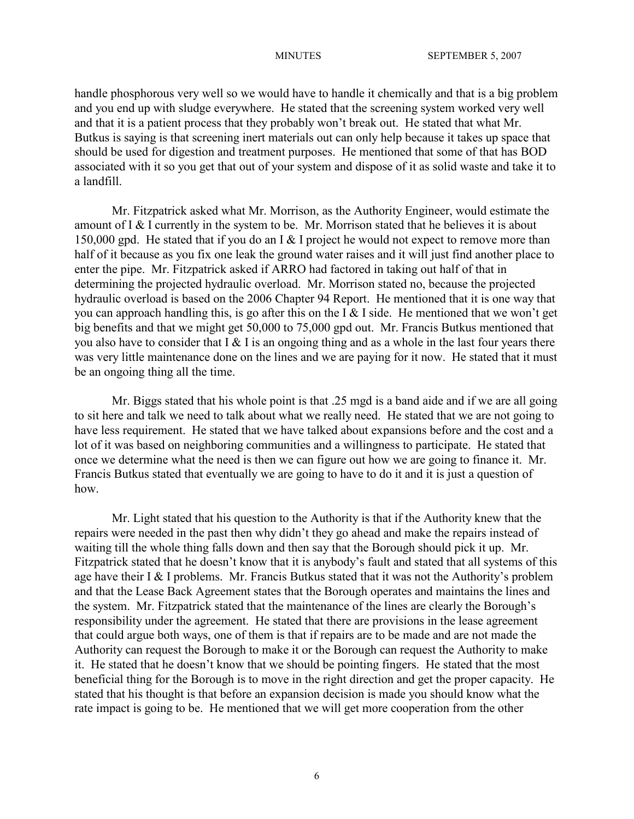handle phosphorous very well so we would have to handle it chemically and that is a big problem and you end up with sludge everywhere. He stated that the screening system worked very well and that it is a patient process that they probably won't break out. He stated that what Mr. Butkus is saying is that screening inert materials out can only help because it takes up space that should be used for digestion and treatment purposes. He mentioned that some of that has BOD associated with it so you get that out of your system and dispose of it as solid waste and take it to a landfill.

Mr. Fitzpatrick asked what Mr. Morrison, as the Authority Engineer, would estimate the amount of I & I currently in the system to be. Mr. Morrison stated that he believes it is about 150,000 gpd. He stated that if you do an I & I project he would not expect to remove more than half of it because as you fix one leak the ground water raises and it will just find another place to enter the pipe. Mr. Fitzpatrick asked if ARRO had factored in taking out half of that in determining the projected hydraulic overload. Mr. Morrison stated no, because the projected hydraulic overload is based on the 2006 Chapter 94 Report. He mentioned that it is one way that you can approach handling this, is go after this on the I & I side. He mentioned that we won't get big benefits and that we might get 50,000 to 75,000 gpd out. Mr. Francis Butkus mentioned that you also have to consider that  $I \& I$  is an ongoing thing and as a whole in the last four years there was very little maintenance done on the lines and we are paying for it now. He stated that it must be an ongoing thing all the time.

Mr. Biggs stated that his whole point is that .25 mgd is a band aide and if we are all going to sit here and talk we need to talk about what we really need. He stated that we are not going to have less requirement. He stated that we have talked about expansions before and the cost and a lot of it was based on neighboring communities and a willingness to participate. He stated that once we determine what the need is then we can figure out how we are going to finance it. Mr. Francis Butkus stated that eventually we are going to have to do it and it is just a question of how.

Mr. Light stated that his question to the Authority is that if the Authority knew that the repairs were needed in the past then why didn't they go ahead and make the repairs instead of waiting till the whole thing falls down and then say that the Borough should pick it up. Mr. Fitzpatrick stated that he doesn't know that it is anybody's fault and stated that all systems of this age have their I  $&$  I problems. Mr. Francis Butkus stated that it was not the Authority's problem and that the Lease Back Agreement states that the Borough operates and maintains the lines and the system. Mr. Fitzpatrick stated that the maintenance of the lines are clearly the Borough's responsibility under the agreement. He stated that there are provisions in the lease agreement that could argue both ways, one of them is that if repairs are to be made and are not made the Authority can request the Borough to make it or the Borough can request the Authority to make it. He stated that he doesn't know that we should be pointing fingers. He stated that the most beneficial thing for the Borough is to move in the right direction and get the proper capacity. He stated that his thought is that before an expansion decision is made you should know what the rate impact is going to be. He mentioned that we will get more cooperation from the other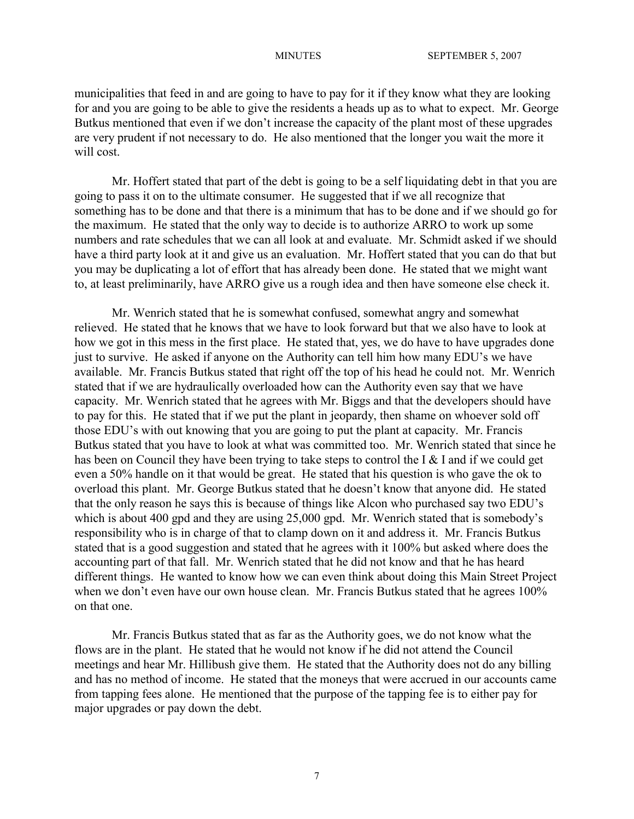municipalities that feed in and are going to have to pay for it if they know what they are looking for and you are going to be able to give the residents a heads up as to what to expect. Mr. George Butkus mentioned that even if we don't increase the capacity of the plant most of these upgrades are very prudent if not necessary to do. He also mentioned that the longer you wait the more it will cost.

Mr. Hoffert stated that part of the debt is going to be a self liquidating debt in that you are going to pass it on to the ultimate consumer. He suggested that if we all recognize that something has to be done and that there is a minimum that has to be done and if we should go for the maximum. He stated that the only way to decide is to authorize ARRO to work up some numbers and rate schedules that we can all look at and evaluate. Mr. Schmidt asked if we should have a third party look at it and give us an evaluation. Mr. Hoffert stated that you can do that but you may be duplicating a lot of effort that has already been done. He stated that we might want to, at least preliminarily, have ARRO give us a rough idea and then have someone else check it.

Mr. Wenrich stated that he is somewhat confused, somewhat angry and somewhat relieved. He stated that he knows that we have to look forward but that we also have to look at how we got in this mess in the first place. He stated that, yes, we do have to have upgrades done just to survive. He asked if anyone on the Authority can tell him how many EDU's we have available. Mr. Francis Butkus stated that right off the top of his head he could not. Mr. Wenrich stated that if we are hydraulically overloaded how can the Authority even say that we have capacity. Mr. Wenrich stated that he agrees with Mr. Biggs and that the developers should have to pay for this. He stated that if we put the plant in jeopardy, then shame on whoever sold off those EDU's with out knowing that you are going to put the plant at capacity. Mr. Francis Butkus stated that you have to look at what was committed too. Mr. Wenrich stated that since he has been on Council they have been trying to take steps to control the I & I and if we could get even a 50% handle on it that would be great. He stated that his question is who gave the ok to overload this plant. Mr. George Butkus stated that he doesn't know that anyone did. He stated that the only reason he says this is because of things like Alcon who purchased say two EDU's which is about 400 gpd and they are using 25,000 gpd. Mr. Wenrich stated that is somebody's responsibility who is in charge of that to clamp down on it and address it. Mr. Francis Butkus stated that is a good suggestion and stated that he agrees with it 100% but asked where does the accounting part of that fall. Mr. Wenrich stated that he did not know and that he has heard different things. He wanted to know how we can even think about doing this Main Street Project when we don't even have our own house clean. Mr. Francis Butkus stated that he agrees 100% on that one.

Mr. Francis Butkus stated that as far as the Authority goes, we do not know what the flows are in the plant. He stated that he would not know if he did not attend the Council meetings and hear Mr. Hillibush give them. He stated that the Authority does not do any billing and has no method of income. He stated that the moneys that were accrued in our accounts came from tapping fees alone. He mentioned that the purpose of the tapping fee is to either pay for major upgrades or pay down the debt.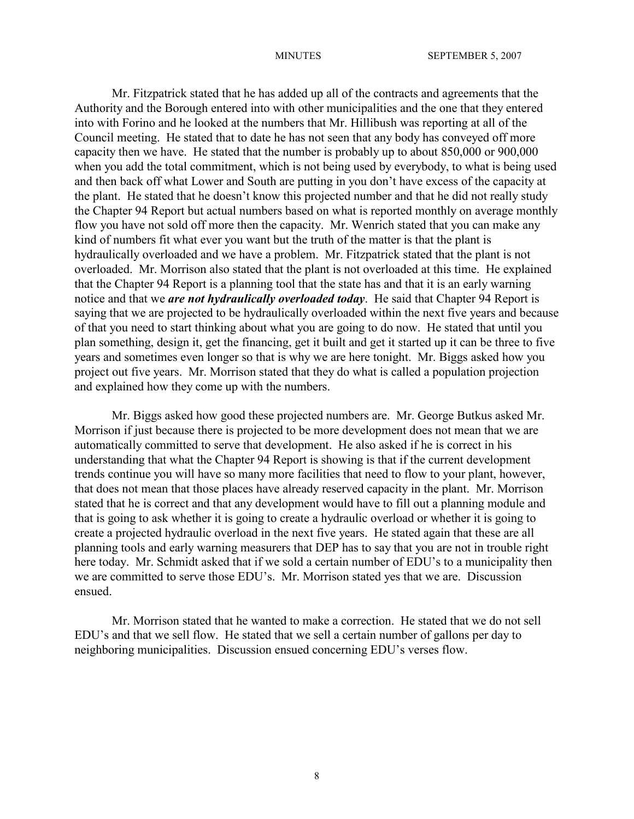Mr. Fitzpatrick stated that he has added up all of the contracts and agreements that the Authority and the Borough entered into with other municipalities and the one that they entered into with Forino and he looked at the numbers that Mr. Hillibush was reporting at all of the Council meeting. He stated that to date he has not seen that any body has conveyed off more capacity then we have. He stated that the number is probably up to about 850,000 or 900,000 when you add the total commitment, which is not being used by everybody, to what is being used and then back off what Lower and South are putting in you don't have excess of the capacity at the plant. He stated that he doesn't know this projected number and that he did not really study the Chapter 94 Report but actual numbers based on what is reported monthly on average monthly flow you have not sold off more then the capacity. Mr. Wenrich stated that you can make any kind of numbers fit what ever you want but the truth of the matter is that the plant is hydraulically overloaded and we have a problem. Mr. Fitzpatrick stated that the plant is not overloaded. Mr. Morrison also stated that the plant is not overloaded at this time. He explained that the Chapter 94 Report is a planning tool that the state has and that it is an early warning notice and that we *are not hydraulically overloaded today*. He said that Chapter 94 Report is saying that we are projected to be hydraulically overloaded within the next five years and because of that you need to start thinking about what you are going to do now. He stated that until you plan something, design it, get the financing, get it built and get it started up it can be three to five years and sometimes even longer so that is why we are here tonight. Mr. Biggs asked how you project out five years. Mr. Morrison stated that they do what is called a population projection and explained how they come up with the numbers.

Mr. Biggs asked how good these projected numbers are. Mr. George Butkus asked Mr. Morrison if just because there is projected to be more development does not mean that we are automatically committed to serve that development. He also asked if he is correct in his understanding that what the Chapter 94 Report is showing is that if the current development trends continue you will have so many more facilities that need to flow to your plant, however, that does not mean that those places have already reserved capacity in the plant. Mr. Morrison stated that he is correct and that any development would have to fill out a planning module and that is going to ask whether it is going to create a hydraulic overload or whether it is going to create a projected hydraulic overload in the next five years. He stated again that these are all planning tools and early warning measurers that DEP has to say that you are not in trouble right here today. Mr. Schmidt asked that if we sold a certain number of EDU's to a municipality then we are committed to serve those EDU's. Mr. Morrison stated yes that we are. Discussion ensued.

Mr. Morrison stated that he wanted to make a correction. He stated that we do not sell EDU's and that we sell flow. He stated that we sell a certain number of gallons per day to neighboring municipalities. Discussion ensued concerning EDU's verses flow.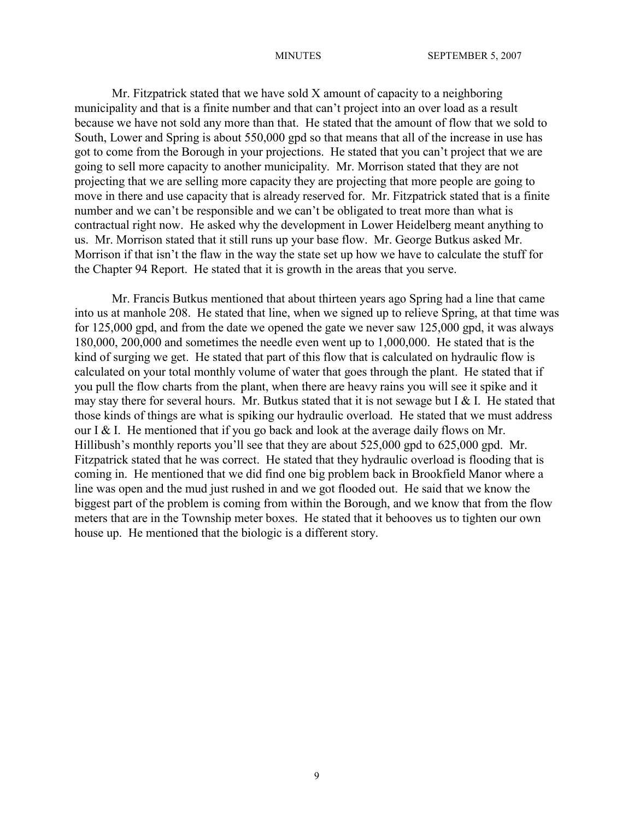Mr. Fitzpatrick stated that we have sold X amount of capacity to a neighboring municipality and that is a finite number and that can't project into an over load as a result because we have not sold any more than that. He stated that the amount of flow that we sold to South, Lower and Spring is about 550,000 gpd so that means that all of the increase in use has got to come from the Borough in your projections. He stated that you can't project that we are going to sell more capacity to another municipality. Mr. Morrison stated that they are not projecting that we are selling more capacity they are projecting that more people are going to move in there and use capacity that is already reserved for. Mr. Fitzpatrick stated that is a finite number and we can't be responsible and we can't be obligated to treat more than what is contractual right now. He asked why the development in Lower Heidelberg meant anything to us. Mr. Morrison stated that it still runs up your base flow. Mr. George Butkus asked Mr. Morrison if that isn't the flaw in the way the state set up how we have to calculate the stuff for the Chapter 94 Report. He stated that it is growth in the areas that you serve.

Mr. Francis Butkus mentioned that about thirteen years ago Spring had a line that came into us at manhole 208. He stated that line, when we signed up to relieve Spring, at that time was for 125,000 gpd, and from the date we opened the gate we never saw 125,000 gpd, it was always 180,000, 200,000 and sometimes the needle even went up to 1,000,000. He stated that is the kind of surging we get. He stated that part of this flow that is calculated on hydraulic flow is calculated on your total monthly volume of water that goes through the plant. He stated that if you pull the flow charts from the plant, when there are heavy rains you will see it spike and it may stay there for several hours. Mr. Butkus stated that it is not sewage but I  $&$  I. He stated that those kinds of things are what is spiking our hydraulic overload. He stated that we must address our I & I. He mentioned that if you go back and look at the average daily flows on Mr. Hillibush's monthly reports you'll see that they are about 525,000 gpd to 625,000 gpd. Mr. Fitzpatrick stated that he was correct. He stated that they hydraulic overload is flooding that is coming in. He mentioned that we did find one big problem back in Brookfield Manor where a line was open and the mud just rushed in and we got flooded out. He said that we know the biggest part of the problem is coming from within the Borough, and we know that from the flow meters that are in the Township meter boxes. He stated that it behooves us to tighten our own house up. He mentioned that the biologic is a different story.